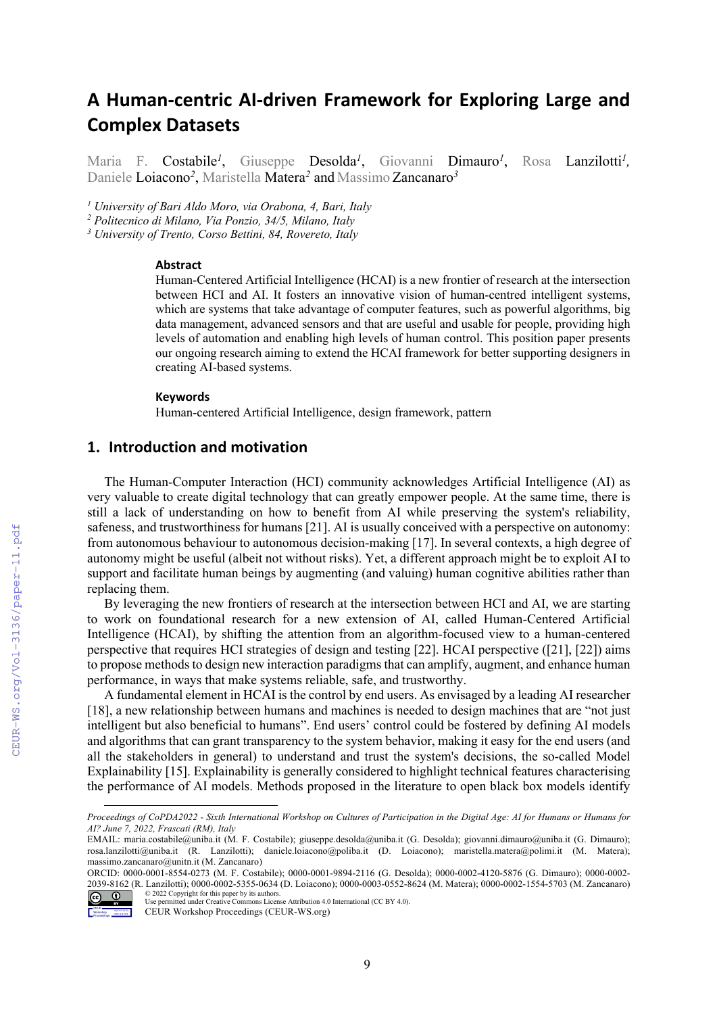# **A Human-centric AI-driven Framework for Exploring Large and Complex Datasets**

Maria F. Costabile*<sup>1</sup>* , Giuseppe Desolda*<sup>1</sup>* , Giovanni Dimauro*<sup>1</sup>* , Rosa Lanzilotti*<sup>1</sup> ,* Daniele Loiacono*<sup>2</sup>* , Maristella Matera*<sup>2</sup>* and Massimo Zancanaro*<sup>3</sup>*

*<sup>1</sup> University of Bari Aldo Moro, via Orabona, 4, Bari, Italy*

*<sup>2</sup> Politecnico di Milano, Via Ponzio, 34/5, Milano, Italy*

*<sup>3</sup> University of Trento, Corso Bettini, 84, Rovereto, Italy*

#### **Abstract**

Human-Centered Artificial Intelligence (HCAI) is a new frontier of research at the intersection between HCI and AI. It fosters an innovative vision of human-centred intelligent systems, which are systems that take advantage of computer features, such as powerful algorithms, big data management, advanced sensors and that are useful and usable for people, providing high levels of automation and enabling high levels of human control. This position paper presents our ongoing research aiming to extend the HCAI framework for better supporting designers in creating AI-based systems.

#### **Keywords**

Human-centered Artificial Intelligence, design framework, pattern

# **1. Introduction and motivation**

The Human-Computer Interaction (HCI) community acknowledges Artificial Intelligence (AI) as very valuable to create digital technology that can greatly empower people. At the same time, there is still a lack of understanding on how to benefit from AI while preserving the system's reliability, safeness, and trustworthiness for humans [21]. AI is usually conceived with a perspective on autonomy: from autonomous behaviour to autonomous decision-making [17]. In several contexts, a high degree of autonomy might be useful (albeit not without risks). Yet, a different approach might be to exploit AI to support and facilitate human beings by augmenting (and valuing) human cognitive abilities rather than replacing them.

By leveraging the new frontiers of research at the intersection between HCI and AI, we are starting to work on foundational research for a new extension of AI, called Human-Centered Artificial Intelligence (HCAI), by shifting the attention from an algorithm-focused view to a human-centered perspective that requires HCI strategies of design and testing [22]. HCAI perspective ([21], [22]) aims to propose methods to design new interaction paradigms that can amplify, augment, and enhance human performance, in ways that make systems reliable, safe, and trustworthy.

A fundamental element in HCAI is the control by end users. As envisaged by a leading AI researcher [18], a new relationship between humans and machines is needed to design machines that are "not just intelligent but also beneficial to humans". End users' control could be fostered by defining AI models and algorithms that can grant transparency to the system behavior, making it easy for the end users (and all the stakeholders in general) to understand and trust the system's decisions, the so-called Model Explainability [15]. Explainability is generally considered to highlight technical features characterising the performance of AI models. Methods proposed in the literature to open black box models identify

ORCID: 0000-0001-8554-0273 (M. F. Costabile); 0000-0001-9894-2116 (G. Desolda); 0000-0002-4120-5876 (G. Dimauro); 0000-0002- 2039-8162 (R. Lanzilotti); 0000-0002-5355-0634 (D. Loiacono); 0000-0003-0552-8624 (M. Matera); 0000-0002-1554-5703 (M. Zancanaro) © 2022 Copyright for this paper by its authors.



Use permitted under Creative Commons License Attribution 4.0 International (CC BY 4.0).

*Proceedings of CoPDA2022 - Sixth International Workshop on Cultures of Participation in the Digital Age: AI for Humans or Humans for AI? June 7, 2022, Frascati (RM), Italy*

EMAIL: maria.costabile@uniba.it (M. F. Costabile); giuseppe.desolda@uniba.it (G. Desolda); giovanni.dimauro@uniba.it (G. Dimauro); rosa.lanzilotti@uniba.it (R. Lanzilotti); daniele.loiacono@poliba.it (D. Loiacono); maristella.matera@polimi.it (M. Matera); massimo.zancanaro@unitn.it (M. Zancanaro)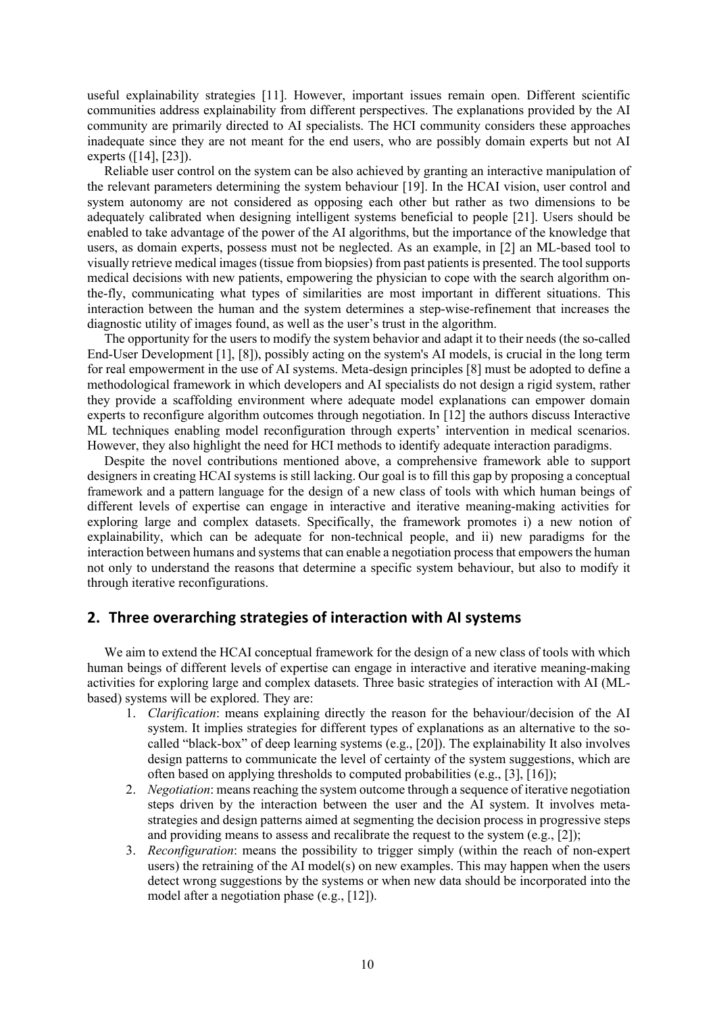useful explainability strategies [11]. However, important issues remain open. Different scientific communities address explainability from different perspectives. The explanations provided by the AI community are primarily directed to AI specialists. The HCI community considers these approaches inadequate since they are not meant for the end users, who are possibly domain experts but not AI experts ([14], [23]).

Reliable user control on the system can be also achieved by granting an interactive manipulation of the relevant parameters determining the system behaviour [19]. In the HCAI vision, user control and system autonomy are not considered as opposing each other but rather as two dimensions to be adequately calibrated when designing intelligent systems beneficial to people [21]. Users should be enabled to take advantage of the power of the AI algorithms, but the importance of the knowledge that users, as domain experts, possess must not be neglected. As an example, in [2] an ML-based tool to visually retrieve medical images (tissue from biopsies) from past patients is presented. The tool supports medical decisions with new patients, empowering the physician to cope with the search algorithm onthe-fly, communicating what types of similarities are most important in different situations. This interaction between the human and the system determines a step-wise-refinement that increases the diagnostic utility of images found, as well as the user's trust in the algorithm.

The opportunity for the users to modify the system behavior and adapt it to their needs (the so-called End-User Development [1], [8]), possibly acting on the system's AI models, is crucial in the long term for real empowerment in the use of AI systems. Meta-design principles [8] must be adopted to define a methodological framework in which developers and AI specialists do not design a rigid system, rather they provide a scaffolding environment where adequate model explanations can empower domain experts to reconfigure algorithm outcomes through negotiation. In [12] the authors discuss Interactive ML techniques enabling model reconfiguration through experts' intervention in medical scenarios. However, they also highlight the need for HCI methods to identify adequate interaction paradigms.

Despite the novel contributions mentioned above, a comprehensive framework able to support designers in creating HCAI systems is still lacking. Our goal is to fill this gap by proposing a conceptual framework and a pattern language for the design of a new class of tools with which human beings of different levels of expertise can engage in interactive and iterative meaning-making activities for exploring large and complex datasets. Specifically, the framework promotes i) a new notion of explainability, which can be adequate for non-technical people, and ii) new paradigms for the interaction between humans and systems that can enable a negotiation process that empowers the human not only to understand the reasons that determine a specific system behaviour, but also to modify it through iterative reconfigurations.

#### **2. Three overarching strategies of interaction with AI systems**

We aim to extend the HCAI conceptual framework for the design of a new class of tools with which human beings of different levels of expertise can engage in interactive and iterative meaning-making activities for exploring large and complex datasets. Three basic strategies of interaction with AI (MLbased) systems will be explored. They are:

- 1. *Clarification*: means explaining directly the reason for the behaviour/decision of the AI system. It implies strategies for different types of explanations as an alternative to the socalled "black-box" of deep learning systems (e.g., [20]). The explainability It also involves design patterns to communicate the level of certainty of the system suggestions, which are often based on applying thresholds to computed probabilities (e.g., [3], [16]);
- 2. *Negotiation*: means reaching the system outcome through a sequence of iterative negotiation steps driven by the interaction between the user and the AI system. It involves metastrategies and design patterns aimed at segmenting the decision process in progressive steps and providing means to assess and recalibrate the request to the system (e.g., [2]);
- 3. *Reconfiguration*: means the possibility to trigger simply (within the reach of non-expert users) the retraining of the AI model(s) on new examples. This may happen when the users detect wrong suggestions by the systems or when new data should be incorporated into the model after a negotiation phase (e.g., [12]).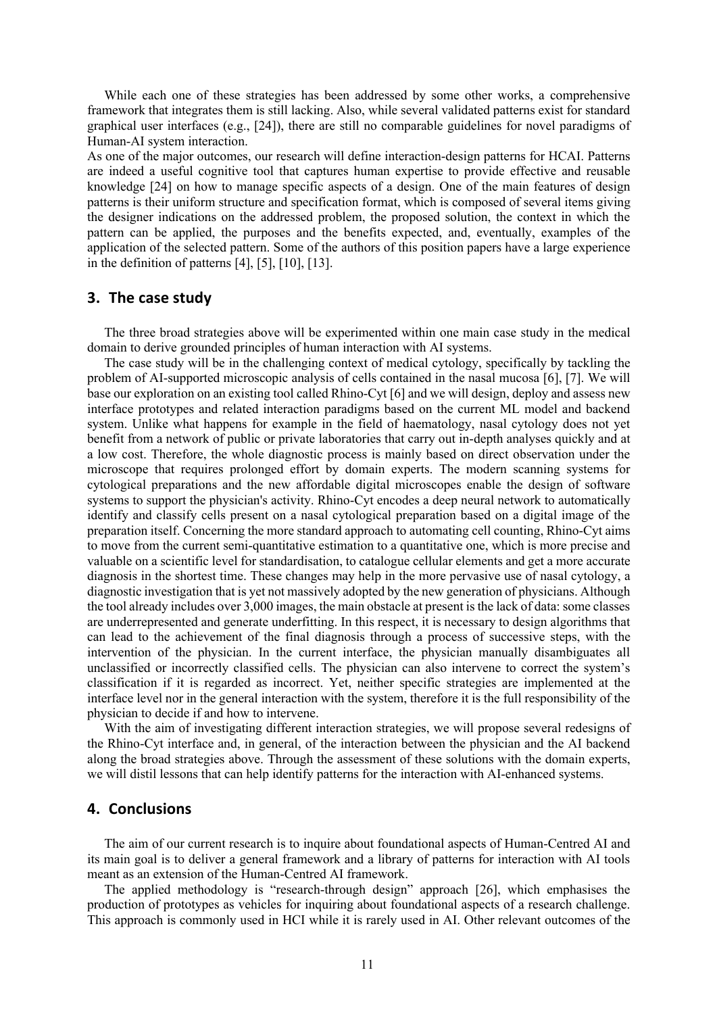While each one of these strategies has been addressed by some other works, a comprehensive framework that integrates them is still lacking. Also, while several validated patterns exist for standard graphical user interfaces (e.g., [24]), there are still no comparable guidelines for novel paradigms of Human-AI system interaction.

As one of the major outcomes, our research will define interaction-design patterns for HCAI. Patterns are indeed a useful cognitive tool that captures human expertise to provide effective and reusable knowledge [24] on how to manage specific aspects of a design. One of the main features of design patterns is their uniform structure and specification format, which is composed of several items giving the designer indications on the addressed problem, the proposed solution, the context in which the pattern can be applied, the purposes and the benefits expected, and, eventually, examples of the application of the selected pattern. Some of the authors of this position papers have a large experience in the definition of patterns  $[4]$ ,  $[5]$ ,  $[10]$ ,  $[13]$ .

#### **3. The case study**

The three broad strategies above will be experimented within one main case study in the medical domain to derive grounded principles of human interaction with AI systems.

The case study will be in the challenging context of medical cytology, specifically by tackling the problem of AI-supported microscopic analysis of cells contained in the nasal mucosa [6], [7]. We will base our exploration on an existing tool called Rhino-Cyt [6] and we will design, deploy and assess new interface prototypes and related interaction paradigms based on the current ML model and backend system. Unlike what happens for example in the field of haematology, nasal cytology does not yet benefit from a network of public or private laboratories that carry out in-depth analyses quickly and at a low cost. Therefore, the whole diagnostic process is mainly based on direct observation under the microscope that requires prolonged effort by domain experts. The modern scanning systems for cytological preparations and the new affordable digital microscopes enable the design of software systems to support the physician's activity. Rhino-Cyt encodes a deep neural network to automatically identify and classify cells present on a nasal cytological preparation based on a digital image of the preparation itself. Concerning the more standard approach to automating cell counting, Rhino-Cyt aims to move from the current semi-quantitative estimation to a quantitative one, which is more precise and valuable on a scientific level for standardisation, to catalogue cellular elements and get a more accurate diagnosis in the shortest time. These changes may help in the more pervasive use of nasal cytology, a diagnostic investigation that is yet not massively adopted by the new generation of physicians. Although the tool already includes over 3,000 images, the main obstacle at present is the lack of data: some classes are underrepresented and generate underfitting. In this respect, it is necessary to design algorithms that can lead to the achievement of the final diagnosis through a process of successive steps, with the intervention of the physician. In the current interface, the physician manually disambiguates all unclassified or incorrectly classified cells. The physician can also intervene to correct the system's classification if it is regarded as incorrect. Yet, neither specific strategies are implemented at the interface level nor in the general interaction with the system, therefore it is the full responsibility of the physician to decide if and how to intervene.

With the aim of investigating different interaction strategies, we will propose several redesigns of the Rhino-Cyt interface and, in general, of the interaction between the physician and the AI backend along the broad strategies above. Through the assessment of these solutions with the domain experts, we will distil lessons that can help identify patterns for the interaction with AI-enhanced systems.

### **4. Conclusions**

The aim of our current research is to inquire about foundational aspects of Human-Centred AI and its main goal is to deliver a general framework and a library of patterns for interaction with AI tools meant as an extension of the Human-Centred AI framework.

The applied methodology is "research-through design" approach [26], which emphasises the production of prototypes as vehicles for inquiring about foundational aspects of a research challenge. This approach is commonly used in HCI while it is rarely used in AI. Other relevant outcomes of the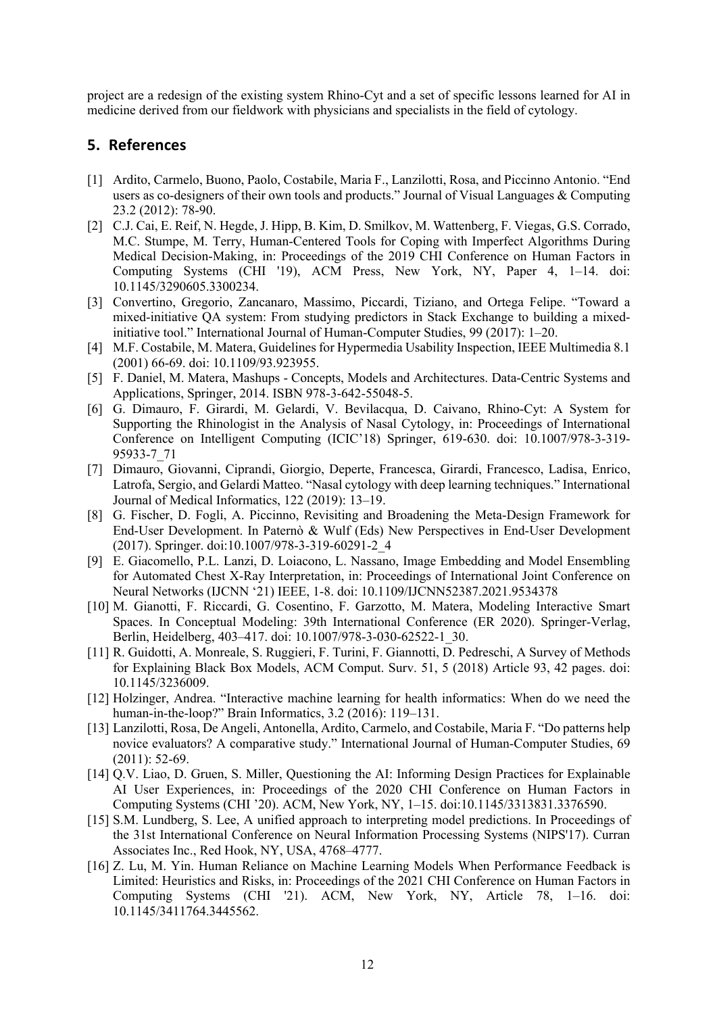project are a redesign of the existing system Rhino-Cyt and a set of specific lessons learned for AI in medicine derived from our fieldwork with physicians and specialists in the field of cytology.

## **5. References**

- [1] Ardito, Carmelo, Buono, Paolo, Costabile, Maria F., Lanzilotti, Rosa, and Piccinno Antonio. "End users as co-designers of their own tools and products." Journal of Visual Languages & Computing 23.2 (2012): 78-90.
- [2] C.J. Cai, E. Reif, N. Hegde, J. Hipp, B. Kim, D. Smilkov, M. Wattenberg, F. Viegas, G.S. Corrado, M.C. Stumpe, M. Terry, Human-Centered Tools for Coping with Imperfect Algorithms During Medical Decision-Making, in: Proceedings of the 2019 CHI Conference on Human Factors in Computing Systems (CHI '19), ACM Press, New York, NY, Paper 4, 1–14. doi: 10.1145/3290605.3300234.
- [3] Convertino, Gregorio, Zancanaro, Massimo, Piccardi, Tiziano, and Ortega Felipe. "Toward a mixed-initiative QA system: From studying predictors in Stack Exchange to building a mixedinitiative tool." International Journal of Human-Computer Studies, 99 (2017): 1–20.
- [4] M.F. Costabile, M. Matera, Guidelines for Hypermedia Usability Inspection, IEEE Multimedia 8.1 (2001) 66-69. doi: 10.1109/93.923955.
- [5] F. Daniel, M. Matera, Mashups Concepts, Models and Architectures. Data-Centric Systems and Applications, Springer, 2014. ISBN 978-3-642-55048-5.
- [6] G. Dimauro, F. Girardi, M. Gelardi, V. Bevilacqua, D. Caivano, Rhino-Cyt: A System for Supporting the Rhinologist in the Analysis of Nasal Cytology, in: Proceedings of International Conference on Intelligent Computing (ICIC'18) Springer, 619-630. doi: 10.1007/978-3-319- 95933-7\_71
- [7] Dimauro, Giovanni, Ciprandi, Giorgio, Deperte, Francesca, Girardi, Francesco, Ladisa, Enrico, Latrofa, Sergio, and Gelardi Matteo. "Nasal cytology with deep learning techniques." International Journal of Medical Informatics, 122 (2019): 13–19.
- [8] G. Fischer, D. Fogli, A. Piccinno, Revisiting and Broadening the Meta-Design Framework for End-User Development. In Paternò & Wulf (Eds) New Perspectives in End-User Development (2017). Springer. doi:10.1007/978-3-319-60291-2\_4
- [9] E. Giacomello, P.L. Lanzi, D. Loiacono, L. Nassano, Image Embedding and Model Ensembling for Automated Chest X-Ray Interpretation, in: Proceedings of International Joint Conference on Neural Networks (IJCNN '21) IEEE, 1-8. doi: 10.1109/IJCNN52387.2021.9534378
- [10] M. Gianotti, F. Riccardi, G. Cosentino, F. Garzotto, M. Matera, Modeling Interactive Smart Spaces. In Conceptual Modeling: 39th International Conference (ER 2020). Springer-Verlag, Berlin, Heidelberg, 403–417. doi: 10.1007/978-3-030-62522-1\_30.
- [11] R. Guidotti, A. Monreale, S. Ruggieri, F. Turini, F. Giannotti, D. Pedreschi, A Survey of Methods for Explaining Black Box Models, ACM Comput. Surv. 51, 5 (2018) Article 93, 42 pages. doi: 10.1145/3236009.
- [12] Holzinger, Andrea. "Interactive machine learning for health informatics: When do we need the human-in-the-loop?" Brain Informatics, 3.2 (2016): 119–131.
- [13] Lanzilotti, Rosa, De Angeli, Antonella, Ardito, Carmelo, and Costabile, Maria F. "Do patterns help novice evaluators? A comparative study." International Journal of Human-Computer Studies, 69 (2011): 52-69.
- [14] Q.V. Liao, D. Gruen, S. Miller, Questioning the AI: Informing Design Practices for Explainable AI User Experiences, in: Proceedings of the 2020 CHI Conference on Human Factors in Computing Systems (CHI '20). ACM, New York, NY, 1–15. doi:10.1145/3313831.3376590.
- [15] S.M. Lundberg, S. Lee, A unified approach to interpreting model predictions. In Proceedings of the 31st International Conference on Neural Information Processing Systems (NIPS'17). Curran Associates Inc., Red Hook, NY, USA, 4768–4777.
- [16] Z. Lu, M. Yin. Human Reliance on Machine Learning Models When Performance Feedback is Limited: Heuristics and Risks, in: Proceedings of the 2021 CHI Conference on Human Factors in Computing Systems (CHI '21). ACM, New York, NY, Article 78, 1–16. doi: 10.1145/3411764.3445562.